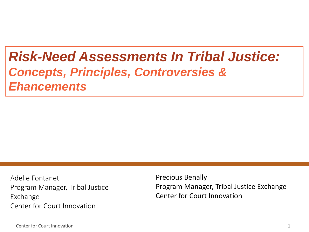### *Risk-Need Assessments In Tribal Justice: Concepts, Principles, Controversies & Ehancements*

Adelle Fontanet Program Manager, Tribal Justice Exchange Center for Court Innovation

Precious Benally Program Manager, Tribal Justice Exchange Center for Court Innovation

Center for Court Innovation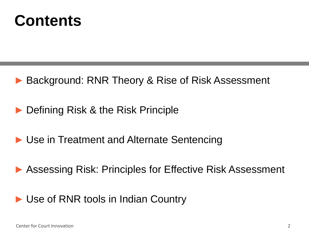

- ▶ Background: RNR Theory & Rise of Risk Assessment
- ► Defining Risk & the Risk Principle
- ► Use in Treatment and Alternate Sentencing
- ► Assessing Risk: Principles for Effective Risk Assessment
- ► Use of RNR tools in Indian Country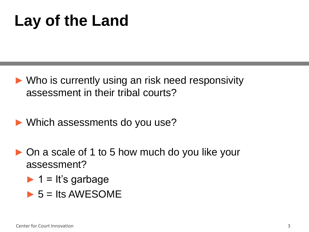### **Lay of the Land**

- ► Who is currently using an risk need responsivity assessment in their tribal courts?
- ► Which assessments do you use?
- ► On a scale of 1 to 5 how much do you like your assessment?
	- $\blacktriangleright$  1 = It's garbage
	- $\triangleright$  5 = Its AWESOME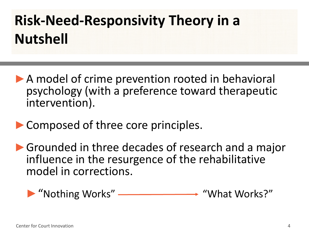### **Risk-Need-Responsivity Theory in a Nutshell**

- ▶ A model of crime prevention rooted in behavioral psychology (with a preference toward therapeutic intervention).
- ▶ Composed of three core principles.
- ▶Grounded in three decades of research and a major influence in the resurgence of the rehabilitative model in corrections.

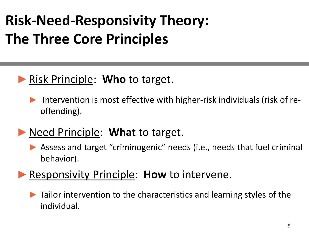### **Risk-Need-Responsivity Theory: The Three Core Principles**

### ►Risk Principle: **Who** to target.

Intervention is most effective with higher-risk individuals (risk of reoffending).

### ►Need Principle: **What** to target.

▶ Assess and target "criminogenic" needs (i.e., needs that fuel criminal behavior).

#### ▶ Responsivity Principle: **How** to intervene.

► Tailor intervention to the characteristics and learning styles of the individual.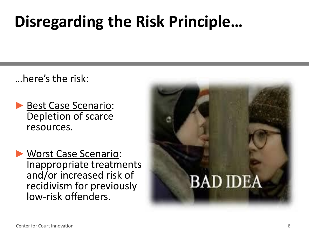### **Disregarding the Risk Principle…**

…here's the risk:

- ▶ Best Case Scenario: Depletion of scarce resources.
- ►Worst Case Scenario: Inappropriate treatments and/or increased risk of recidivism for previously low-risk offenders.

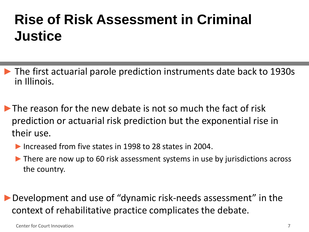### **Rise of Risk Assessment in Criminal Justice**

- ► The first actuarial parole prediction instruments date back to 1930s in Illinois.
- $\blacktriangleright$  The reason for the new debate is not so much the fact of risk prediction or actuarial risk prediction but the exponential rise in their use.
	- ►Increased from five states in 1998 to 28 states in 2004.
	- ► There are now up to 60 risk assessment systems in use by jurisdictions across the country.
- ►Development and use of "dynamic risk-needs assessment" in the context of rehabilitative practice complicates the debate.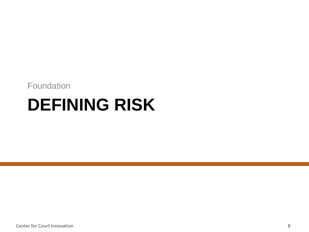#### Foundation

## **DEFINING RISK**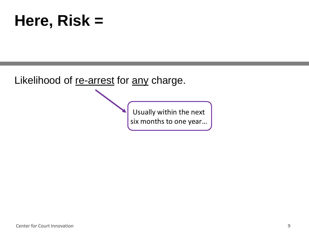### **Here, Risk =**

Likelihood of re-arrest for any charge.

Usually within the next six months to one year…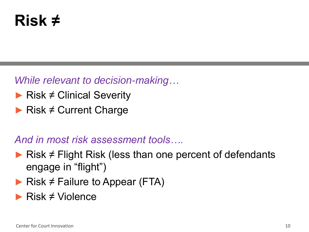### **Risk ≠**

*While relevant to decision-making…*

- ► Risk ≠ Clinical Severity
- $\blacktriangleright$  Risk  $\neq$  Current Charge

#### *And in most risk assessment tools….*

- ► Risk  $\neq$  Flight Risk (less than one percent of defendants engage in "flight")
- $\blacktriangleright$  Risk  $\neq$  Failure to Appear (FTA)
- ► Risk ≠ Violence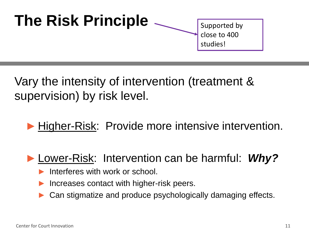

Vary the intensity of intervention (treatment & supervision) by risk level.

▶ Higher-Risk: Provide more intensive intervention.

#### ► Lower-Risk: Intervention can be harmful: *Why?*

- Interferes with work or school.
- Increases contact with higher-risk peers.
- Can stigmatize and produce psychologically damaging effects.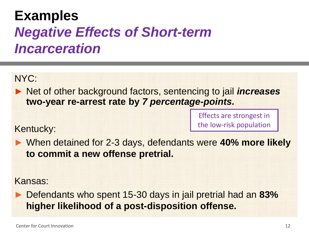### **Examples** *Negative Effects of Short-term Incarceration*

NYC:

► Net of other background factors, sentencing to jail *increases* **two-year re-arrest rate by** *7 percentage-points.* 

> Effects are strongest in the low-risk population

Kentucky:

► When detained for 2-3 days, defendants were **40% more likely to commit a new offense pretrial.** 

Kansas:

► Defendants who spent 15-30 days in jail pretrial had an **83% higher likelihood of a post-disposition offense.**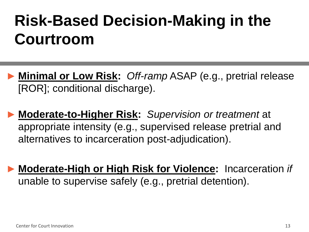### **Risk-Based Decision-Making in the Courtroom**

- ► **Minimal or Low Risk:** *Off-ramp* ASAP (e.g., pretrial release [ROR]; conditional discharge).
- ► **Moderate-to-Higher Risk:** *Supervision or treatment* at appropriate intensity (e.g., supervised release pretrial and alternatives to incarceration post-adjudication).
- ► **Moderate-High or High Risk for Violence:** Incarceration *if*  unable to supervise safely (e.g., pretrial detention).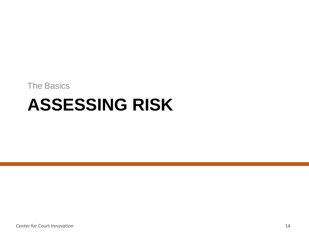The Basics

# **ASSESSING RISK**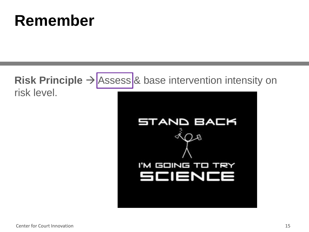### **Remember**

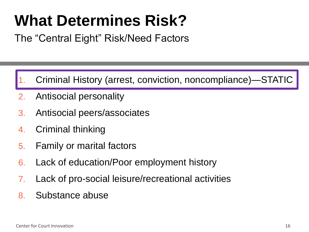### **What Determines Risk?**

The "Central Eight" Risk/Need Factors

- 1. Criminal History (arrest, conviction, noncompliance)—STATIC
- 2. Antisocial personality
- 3. Antisocial peers/associates
- 4. Criminal thinking
- 5. Family or marital factors
- 6. Lack of education/Poor employment history
- 7. Lack of pro-social leisure/recreational activities
- 8. Substance abuse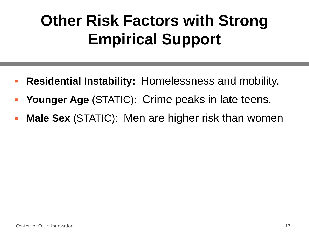### **Other Risk Factors with Strong Empirical Support**

- Residential Instability: Homelessness and mobility.
- **Younger Age** (STATIC): Crime peaks in late teens.
- **Male Sex** (STATIC): Men are higher risk than women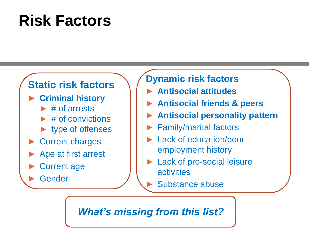### **Risk Factors**

#### **Static risk factors**

- ► **Criminal history**
	- $\blacktriangleright$  # of arrests
	- ► # of convictions
	- ► type of offenses
- ► Current charges
- ► Age at first arrest
- **Current age**

**Gender** 

#### **Dynamic risk factors**

- ► **Antisocial attitudes**
- ► **Antisocial friends & peers**
- ► **Antisocial personality pattern**
- ► Family/marital factors
- Lack of education/poor employment history
- ► Lack of pro-social leisure activities
	- ► Substance abuse

#### *What's missing from this list?*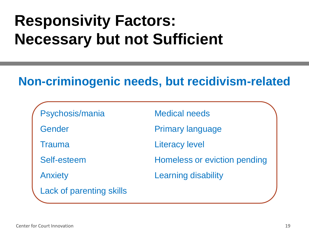### **Responsivity Factors: Necessary but not Sufficient**

### **Non-criminogenic needs, but recidivism-related**

| Psychosis/mania                 | <b>Medical needs</b>         |
|---------------------------------|------------------------------|
| Gender                          | <b>Primary language</b>      |
| <b>Trauma</b>                   | <b>Literacy level</b>        |
| Self-esteem                     | Homeless or eviction pending |
| <b>Anxiety</b>                  | <b>Learning disability</b>   |
| <b>Lack of parenting skills</b> |                              |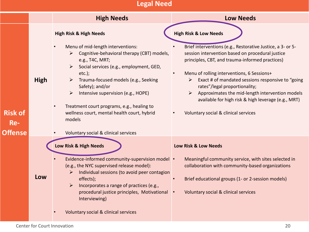#### **Legal Need**

|                              |      | <b>High Needs</b>                                                                                                                                                                                                                                                                                                                                                                                                                                                        | <b>Low Needs</b>                                                                                                                                                                                                                                                                                                                                                                                                                                                                                  |
|------------------------------|------|--------------------------------------------------------------------------------------------------------------------------------------------------------------------------------------------------------------------------------------------------------------------------------------------------------------------------------------------------------------------------------------------------------------------------------------------------------------------------|---------------------------------------------------------------------------------------------------------------------------------------------------------------------------------------------------------------------------------------------------------------------------------------------------------------------------------------------------------------------------------------------------------------------------------------------------------------------------------------------------|
| <b>Risk of</b><br><b>Re-</b> | High | <b>High Risk &amp; High Needs</b><br>Menu of mid-length interventions:<br>Cognitive-behavioral therapy (CBT) models,<br>e.g., T4C, MRT;<br>Social services (e.g., employment, GED,<br>$etc.$ );<br>Trauma-focused models (e.g., Seeking<br>$\blacktriangleright$<br>Safety); and/or<br>Intensive supervision (e.g., HOPE)<br>Treatment court programs, e.g., healing to<br>wellness court, mental health court, hybrid<br>models<br>Voluntary social & clinical services | <b>High Risk &amp; Low Needs</b><br>Brief interventions (e.g., Restorative Justice, a 3- or 5-<br>session intervention based on procedural justice<br>principles, CBT, and trauma-informed practices)<br>Menu of rolling interventions, 6 Sessions+<br>Exact # of mandated sessions responsive to "going"<br>➤<br>rates"/legal proportionality;<br>Approximates the mid-length intervention models<br>available for high risk & high leverage (e.g., MRT)<br>Voluntary social & clinical services |
| <b>Offense</b>               | Low  | Low Risk & High Needs<br>Evidence-informed community-supervision model •<br>(e.g., the NYC supervised release model):<br>Individual sessions (to avoid peer contagion<br>➤<br>effects);<br>Incorporates a range of practices (e.g.,<br>$\blacktriangleright$<br>procedural justice principles, Motivational<br>Interviewing)<br>Voluntary social & clinical services                                                                                                     | Low Risk & Low Needs<br>Meaningful community service, with sites selected in<br>collaboration with community-based organizations<br>Brief educational groups (1- or 2-session models)<br>Voluntary social & clinical services                                                                                                                                                                                                                                                                     |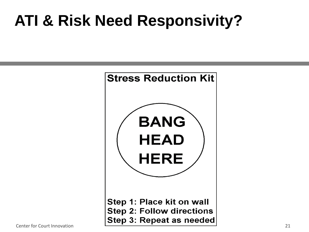### **ATI & Risk Need Responsivity?**

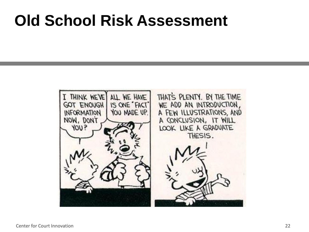### **Old School Risk Assessment**

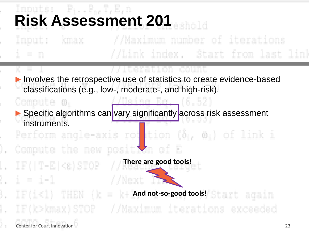# **Risk Assessment 201**

#### //Maximum number of iterations kmax Link index. Start from last link

#### //Iteration count

//Daing Rg. (6.52

▶ Involves the retrospective use of statistics to create evidence-based classifications (e.g., low-, moderate-, and high-risk).

#### Compute o.

Imput:

 $-10$ 

X –

Ι.

ı.

ι.

▶ Specific algorithms can vary significantly across risk assessment instruments.

Perform angle-axis rot tion (81, 01) of link i Compute the new position of E

**There are good tools!**

 $i = i-1$ //Next 11 **And not-so-good tools!** 4. IF(k>kmax)STOP //Maximum iterations exceeded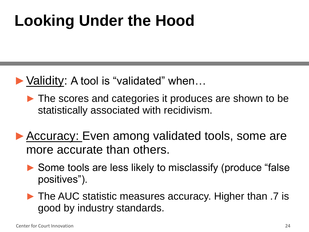### **Looking Under the Hood**

- ►Validity: A tool is "validated" when…
	- ► The scores and categories it produces are shown to be statistically associated with recidivism.
- ▶ Accuracy: Even among validated tools, some are more accurate than others.
	- ► Some tools are less likely to misclassify (produce "false positives").
	- ► The AUC statistic measures accuracy. Higher than .7 is good by industry standards.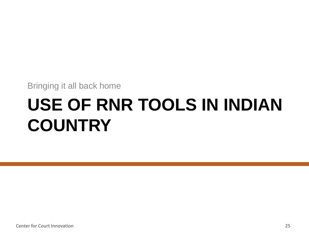Bringing it all back home

# **USE OF RNR TOOLS IN INDIAN COUNTRY**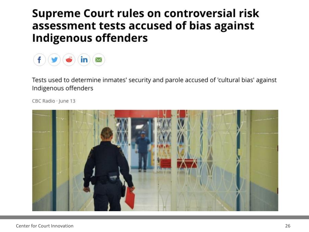#### **Supreme Court rules on controversial risk** assessment tests accused of bias against **Indigenous offenders**



Tests used to determine inmates' security and parole accused of 'cultural bias' against Indigenous offenders

CBC Radio · June 13

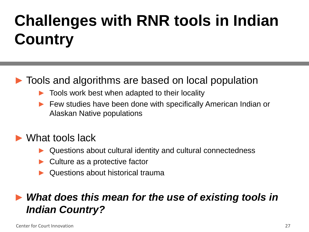## **Challenges with RNR tools in Indian Country**

#### ► Tools and algorithms are based on local population

- ► Tools work best when adapted to their locality
- Few studies have been done with specifically American Indian or Alaskan Native populations

#### ► What tools lack

- ► Questions about cultural identity and cultural connectedness
- Culture as a protective factor
- Questions about historical trauma

#### ► *What does this mean for the use of existing tools in Indian Country?*

Center for Court Innovation 27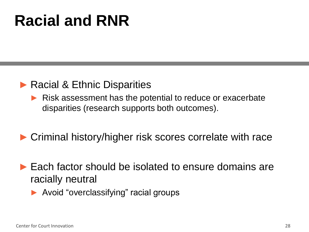### **Racial and RNR**

#### ▶ Racial & Ethnic Disparities

► Risk assessment has the potential to reduce or exacerbate disparities (research supports both outcomes).

#### ► Criminal history/higher risk scores correlate with race

- ► Each factor should be isolated to ensure domains are racially neutral
	- ► Avoid "overclassifying" racial groups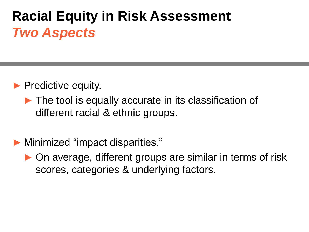### **Racial Equity in Risk Assessment** *Two Aspects*

- ▶ Predictive equity.
	- ► The tool is equally accurate in its classification of different racial & ethnic groups.
- ► Minimized "impact disparities."
	- ▶ On average, different groups are similar in terms of risk scores, categories & underlying factors.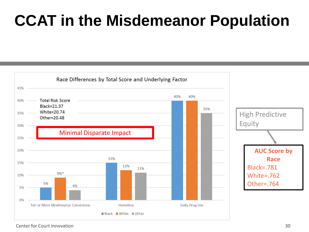### **CCAT in the Misdemeanor Population**



Center for Court Innovation 30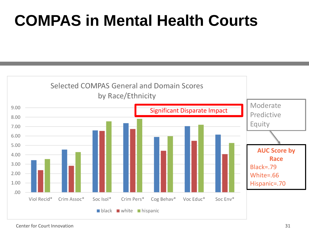### **COMPAS in Mental Health Courts**

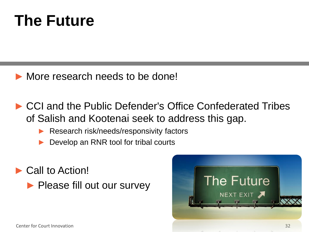### **The Future**

- ► More research needs to be done!
- ► CCI and the Public Defender's Office Confederated Tribes of Salish and Kootenai seek to address this gap.
	- ▶ Research risk/needs/responsivity factors
	- Develop an RNR tool for tribal courts
- ► Call to Action! ▶ Please fill out our survey